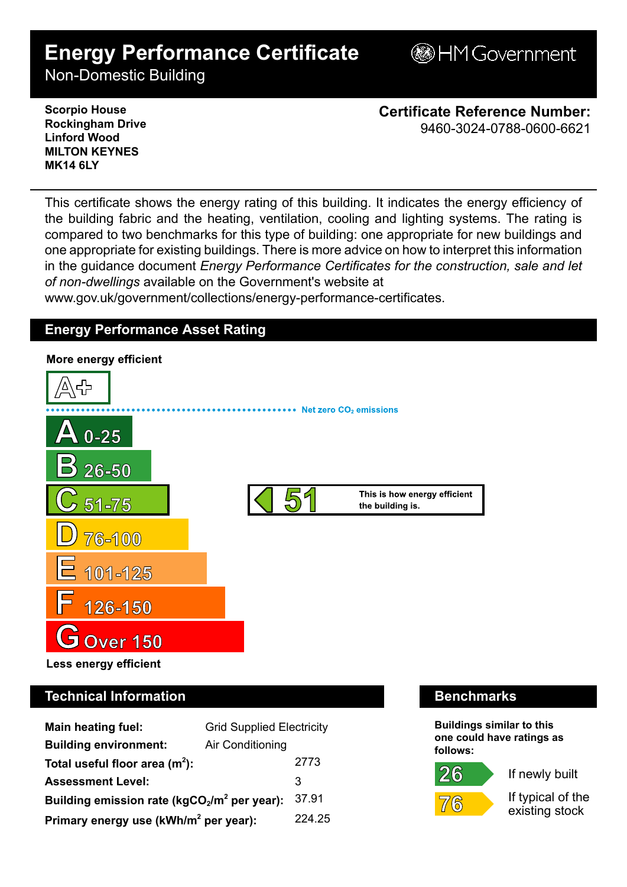# **Energy Performance Certificate**

HMGovernment

Non-Domestic Building

**Scorpio House Rockingham Drive Linford Wood MILTON KEYNES MK14 6LY**

**Certificate Reference Number:** 9460-3024-0788-0600-6621

This certificate shows the energy rating of this building. It indicates the energy efficiency of the building fabric and the heating, ventilation, cooling and lighting systems. The rating is compared to two benchmarks for this type of building: one appropriate for new buildings and one appropriate for existing buildings. There is more advice on how to interpret this information in the guidance document *Energy Performance Certificates for the construction, sale and let of non-dwellings* available on the Government's website at

www.gov.uk/government/collections/energy-performance-certificates.

## **Energy Performance Asset Rating**



# **Technical Information Benchmarks**

| <b>Main heating fuel:</b>                         | <b>Grid Supplied Electricity</b> |        |
|---------------------------------------------------|----------------------------------|--------|
| <b>Building environment:</b>                      | Air Conditioning                 |        |
| Total useful floor area $(m2)$ :                  |                                  | 2773   |
| <b>Assessment Level:</b>                          |                                  | 3      |
| Building emission rate ( $kgCO2/m2$ per year):    |                                  | 37.91  |
| Primary energy use (kWh/m <sup>2</sup> per year): |                                  | 224.25 |

**Buildings similar to this one could have ratings as follows:**

 $26$ 



7⁄ (6

If typical of the

existing stock